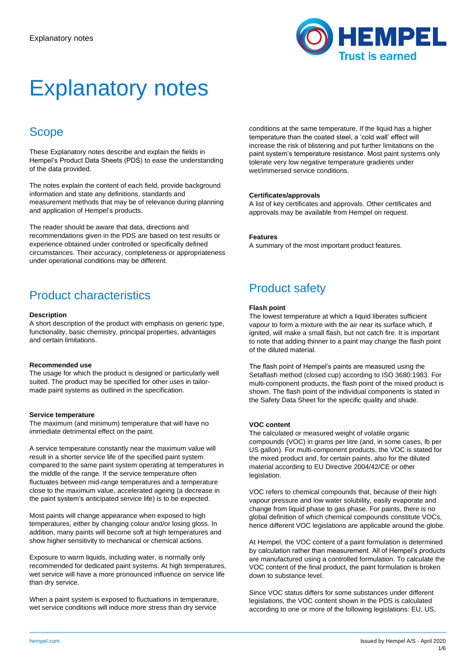

# Explanatory notes

### **Scope**

These Explanatory notes describe and explain the fields in Hempel's Product Data Sheets (PDS) to ease the understanding of the data provided.

The notes explain the content of each field, provide background information and state any definitions, standards and measurement methods that may be of relevance during planning and application of Hempel's products.

The reader should be aware that data, directions and recommendations given in the PDS are based on test results or experience obtained under controlled or specifically defined circumstances. Their accuracy, completeness or appropriateness under operational conditions may be different.

# Product characteristics

#### **Description**

A short description of the product with emphasis on generic type, functionality, basic chemistry, principal properties, advantages and certain limitations.

#### **Recommended use**

The usage for which the product is designed or particularly well suited. The product may be specified for other uses in tailormade paint systems as outlined in the specification.

#### **Service temperature**

The maximum (and minimum) temperature that will have no immediate detrimental effect on the paint.

A service temperature constantly near the maximum value will result in a shorter service life of the specified paint system compared to the same paint system operating at temperatures in the middle of the range. If the service temperature often fluctuates between mid-range temperatures and a temperature close to the maximum value, accelerated ageing (a decrease in the paint system's anticipated service life) is to be expected.

Most paints will change appearance when exposed to high temperatures, either by changing colour and/or losing gloss. In addition, many paints will become soft at high temperatures and show higher sensitivity to mechanical or chemical actions.

Exposure to warm liquids, including water, is normally only recommended for dedicated paint systems. At high temperatures, wet service will have a more pronounced influence on service life than dry service.

When a paint system is exposed to fluctuations in temperature, wet service conditions will induce more stress than dry service

conditions at the same temperature. If the liquid has a higher temperature than the coated steel, a 'cold wall' effect will increase the risk of blistering and put further limitations on the paint system's temperature resistance. Most paint systems only tolerate very low negative temperature gradients under wet/immersed service conditions.

#### **Certificates/approvals**

A list of key certificates and approvals. Other certificates and approvals may be available from Hempel on request.

#### **Features**

A summary of the most important product features.

# Product safety

#### **Flash point**

The lowest temperature at which a liquid liberates sufficient vapour to form a mixture with the air near its surface which, if ignited, will make a small flash, but not catch fire. It is important to note that adding thinner to a paint may change the flash point of the diluted material.

The flash point of Hempel's paints are measured using the Setaflash method (closed cup) according to ISO 3680:1983. For multi-component products, the flash point of the mixed product is shown. The flash point of the individual components is stated in the Safety Data Sheet for the specific quality and shade.

#### **VOC content**

The calculated or measured weight of volatile organic compounds (VOC) in grams per litre (and, in some cases, lb per US gallon). For multi-component products, the VOC is stated for the mixed product and, for certain paints, also for the diluted material according to EU Directive 2004/42/CE or other legislation.

VOC refers to chemical compounds that, because of their high vapour pressure and low water solubility, easily evaporate and change from liquid phase to gas phase. For paints, there is no global definition of which chemical compounds constitute VOCs, hence different VOC legislations are applicable around the globe.

At Hempel, the VOC content of a paint formulation is determined by calculation rather than measurement. All of Hempel's products are manufactured using a controlled formulation. To calculate the VOC content of the final product, the paint formulation is broken down to substance level.

Since VOC status differs for some substances under different legislations, the VOC content shown in the PDS is calculated according to one or more of the following legislations: EU, US,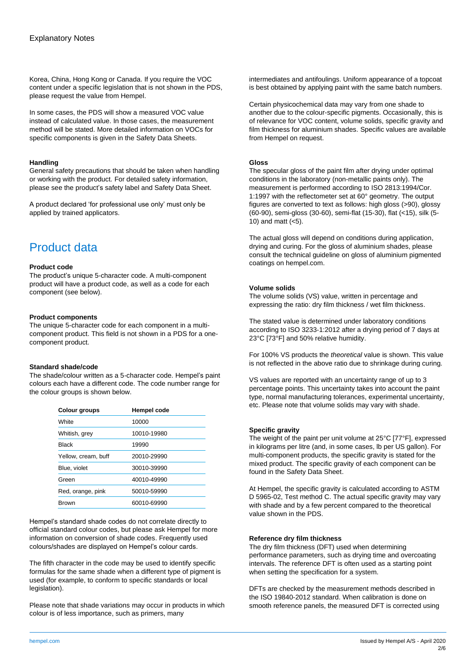Korea, China, Hong Kong or Canada. If you require the VOC content under a specific legislation that is not shown in the PDS, please request the value from Hempel.

In some cases, the PDS will show a measured VOC value instead of calculated value. In those cases, the measurement method will be stated. More detailed information on VOCs for specific components is given in the Safety Data Sheets.

#### **Handling**

General safety precautions that should be taken when handling or working with the product. For detailed safety information, please see the product's safety label and Safety Data Sheet.

A product declared 'for professional use only' must only be applied by trained applicators.

# Product data

#### **Product code**

The product's unique 5-character code. A multi-component product will have a product code, as well as a code for each component (see below).

#### **Product components**

The unique 5-character code for each component in a multicomponent product. This field is not shown in a PDS for a onecomponent product.

#### **Standard shade/code**

The shade/colour written as a 5-character code. Hempel's paint colours each have a different code. The code number range for the colour groups is shown below.

| Colour groups       | Hempel code |
|---------------------|-------------|
| <b>White</b>        | 10000       |
| Whitish, grey       | 10010-19980 |
| <b>Black</b>        | 19990       |
| Yellow, cream, buff | 20010-29990 |
| Blue, violet        | 30010-39990 |
| Green               | 40010-49990 |
| Red, orange, pink   | 50010-59990 |
| <b>Brown</b>        | 60010-69990 |

Hempel's standard shade codes do not correlate directly to official standard colour codes, but please ask Hempel for more information on conversion of shade codes. Frequently used colours/shades are displayed on Hempel's colour cards.

The fifth character in the code may be used to identify specific formulas for the same shade when a different type of pigment is used (for example, to conform to specific standards or local legislation).

Please note that shade variations may occur in products in which colour is of less importance, such as primers, many

intermediates and antifoulings. Uniform appearance of a topcoat is best obtained by applying paint with the same batch numbers.

Certain physicochemical data may vary from one shade to another due to the colour-specific pigments. Occasionally, this is of relevance for VOC content, volume solids, specific gravity and film thickness for aluminium shades. Specific values are available from Hempel on request.

#### **Gloss**

The specular gloss of the paint film after drying under optimal conditions in the laboratory (non-metallic paints only). The measurement is performed according to ISO 2813:1994/Cor. 1:1997 with the reflectometer set at 60° geometry. The output figures are converted to text as follows: high gloss (>90), glossy (60-90), semi-gloss (30-60), semi-flat (15-30), flat (<15), silk (5- 10) and matt  $(<5)$ .

The actual gloss will depend on conditions during application, drying and curing. For the gloss of aluminium shades, please consult the technical guideline on gloss of aluminium pigmented coatings on hempel.com.

#### **Volume solids**

The volume solids (VS) value, written in percentage and expressing the ratio: dry film thickness / wet film thickness.

The stated value is determined under laboratory conditions according to ISO 3233‑1:2012 after a drying period of 7 days at 23°C [73°F] and 50% relative humidity.

For 100% VS products the *theoretical* value is shown. This value is not reflected in the above ratio due to shrinkage during curing.

VS values are reported with an uncertainty range of up to 3 percentage points. This uncertainty takes into account the paint type, normal manufacturing tolerances, experimental uncertainty, etc. Please note that volume solids may vary with shade.

#### **Specific gravity**

The weight of the paint per unit volume at 25°C [77°F], expressed in kilograms per litre (and, in some cases, lb per US gallon). For multi-component products, the specific gravity is stated for the mixed product. The specific gravity of each component can be found in the Safety Data Sheet.

At Hempel, the specific gravity is calculated according to ASTM D 5965-02, Test method C. The actual specific gravity may vary with shade and by a few percent compared to the theoretical value shown in the PDS.

#### **Reference dry film thickness**

The dry film thickness (DFT) used when determining performance parameters, such as drying time and overcoating intervals. The reference DFT is often used as a starting point when setting the specification for a system.

DFTs are checked by the measurement methods described in the ISO 19840-2012 standard. When calibration is done on smooth reference panels, the measured DFT is corrected using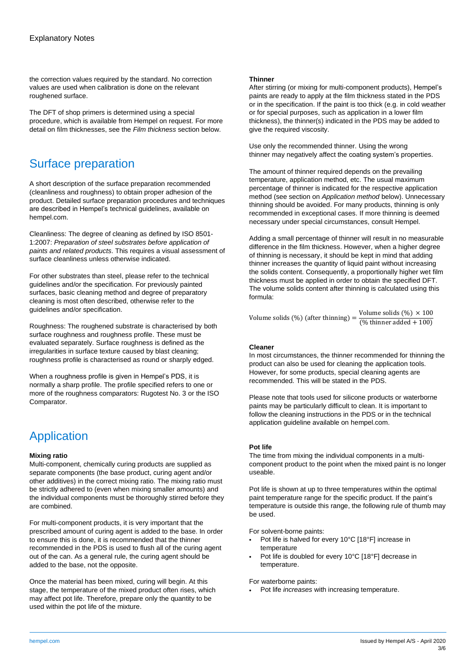the correction values required by the standard. No correction values are used when calibration is done on the relevant roughened surface.

The DFT of shop primers is determined using a special procedure, which is available from Hempel on request. For more detail on film thicknesses, see the *Film thickness* section below.

# Surface preparation

A short description of the surface preparation recommended (cleanliness and roughness) to obtain proper adhesion of the product. Detailed surface preparation procedures and techniques are described in Hempel's technical guidelines, available on hempel.com.

Cleanliness: The degree of cleaning as defined by ISO 8501- 1:2007: *Preparation of steel substrates before application of paints and related products*. This requires a visual assessment of surface cleanliness unless otherwise indicated.

For other substrates than steel, please refer to the technical guidelines and/or the specification. For previously painted surfaces, basic cleaning method and degree of preparatory cleaning is most often described, otherwise refer to the guidelines and/or specification.

Roughness: The roughened substrate is characterised by both surface roughness and roughness profile. These must be evaluated separately. Surface roughness is defined as the irregularities in surface texture caused by blast cleaning; roughness profile is characterised as round or sharply edged.

When a roughness profile is given in Hempel's PDS, it is normally a sharp profile. The profile specified refers to one or more of the roughness comparators: Rugotest No. 3 or the ISO Comparator.

# Application

#### **Mixing ratio**

Multi-component, chemically curing products are supplied as separate components (the base product, curing agent and/or other additives) in the correct mixing ratio. The mixing ratio must be strictly adhered to (even when mixing smaller amounts) and the individual components must be thoroughly stirred before they are combined.

For multi-component products, it is very important that the prescribed amount of curing agent is added to the base. In order to ensure this is done, it is recommended that the thinner recommended in the PDS is used to flush all of the curing agent out of the can. As a general rule, the curing agent should be added to the base, not the opposite.

Once the material has been mixed, curing will begin. At this stage, the temperature of the mixed product often rises, which may affect pot life. Therefore, prepare only the quantity to be used within the pot life of the mixture.

#### **Thinner**

After stirring (or mixing for multi-component products), Hempel's paints are ready to apply at the film thickness stated in the PDS or in the specification. If the paint is too thick (e.g. in cold weather or for special purposes, such as application in a lower film thickness), the thinner(s) indicated in the PDS may be added to give the required viscosity.

Use only the recommended thinner. Using the wrong thinner may negatively affect the coating system's properties.

The amount of thinner required depends on the prevailing temperature, application method, etc. The usual maximum percentage of thinner is indicated for the respective application method (see section on *Application method* below). Unnecessary thinning should be avoided. For many products, thinning is only recommended in exceptional cases. If more thinning is deemed necessary under special circumstances, consult Hempel.

Adding a small percentage of thinner will result in no measurable difference in the film thickness. However, when a higher degree of thinning is necessary, it should be kept in mind that adding thinner increases the quantity of liquid paint without increasing the solids content. Consequently, a proportionally higher wet film thickness must be applied in order to obtain the specified DFT. The volume solids content after thinning is calculated using this formula:

Volume solids (%) (after thinning) =  $\frac{\text{Volume solids} (\%)}{\text{W this way add by 1.100}}$  $(\%$  thinner added  $+100)$ 

#### **Cleaner**

In most circumstances, the thinner recommended for thinning the product can also be used for cleaning the application tools. However, for some products, special cleaning agents are recommended. This will be stated in the PDS.

Please note that tools used for silicone products or waterborne paints may be particularly difficult to clean. It is important to follow the cleaning instructions in the PDS or in the technical application guideline available on hempel.com.

#### **Pot life**

The time from mixing the individual components in a multicomponent product to the point when the mixed paint is no longer useable.

Pot life is shown at up to three temperatures within the optimal paint temperature range for the specific product. If the paint's temperature is outside this range, the following rule of thumb may be used.

For solvent-borne paints:

- Pot life is halved for every 10°C [18°F] increase in temperature
- Pot life is doubled for every 10°C [18°F] decrease in temperature.

For waterborne paints:

• Pot life *increases* with increasing temperature.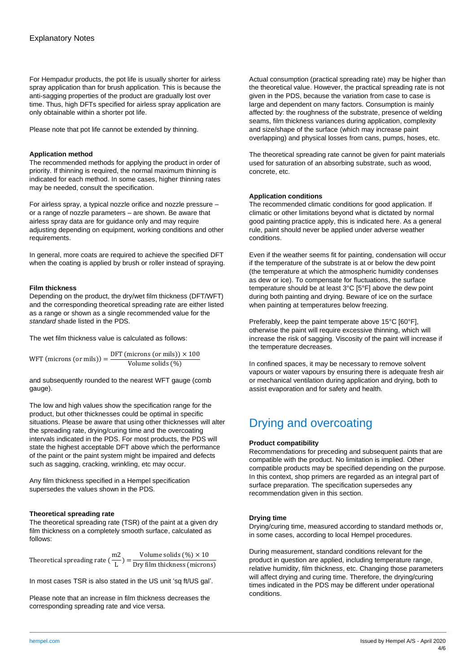For Hempadur products, the pot life is usually shorter for airless spray application than for brush application. This is because the anti-sagging properties of the product are gradually lost over time. Thus, high DFTs specified for airless spray application are only obtainable within a shorter pot life.

Please note that pot life cannot be extended by thinning.

#### **Application method**

The recommended methods for applying the product in order of priority. If thinning is required, the normal maximum thinning is indicated for each method. In some cases, higher thinning rates may be needed, consult the specification.

For airless spray, a typical nozzle orifice and nozzle pressure – or a range of nozzle parameters – are shown. Be aware that airless spray data are for guidance only and may require adjusting depending on equipment, working conditions and other requirements.

In general, more coats are required to achieve the specified DFT when the coating is applied by brush or roller instead of spraying.

#### **Film thickness**

Depending on the product, the dry/wet film thickness (DFT/WFT) and the corresponding theoretical spreading rate are either listed as a range or shown as a single recommended value for the *standard* shade listed in the PDS.

The wet film thickness value is calculated as follows:

WFT (microns (or mils)) =  $\frac{\text{DFT (microns (or mils))} \times 100}{\text{Volume solid (0)}}$ Volume solids (%)

and subsequently rounded to the nearest WFT gauge (comb gauge).

The low and high values show the specification range for the product, but other thicknesses could be optimal in specific situations. Please be aware that using other thicknesses will alter the spreading rate, drying/curing time and the overcoating intervals indicated in the PDS. For most products, the PDS will state the highest acceptable DFT above which the performance of the paint or the paint system might be impaired and defects such as sagging, cracking, wrinkling, etc may occur.

Any film thickness specified in a Hempel specification supersedes the values shown in the PDS.

#### **Theoretical spreading rate**

The theoretical spreading rate (TSR) of the paint at a given dry film thickness on a completely smooth surface, calculated as follows:

Theoretical spreading rate  $(\frac{m2}{l})$  $\frac{\text{m2}}{\text{L}}$ ) =  $\frac{\text{Volume solids}(\%)\times 10}{\text{Dry film thickness (micro)}}$ Dry film thickness (microns)

In most cases TSR is also stated in the US unit 'sq ft/US gal'.

Please note that an increase in film thickness decreases the corresponding spreading rate and vice versa.

Actual consumption (practical spreading rate) may be higher than the theoretical value. However, the practical spreading rate is not given in the PDS, because the variation from case to case is large and dependent on many factors. Consumption is mainly affected by: the roughness of the substrate, presence of welding seams, film thickness variances during application, complexity and size/shape of the surface (which may increase paint overlapping) and physical losses from cans, pumps, hoses, etc.

The theoretical spreading rate cannot be given for paint materials used for saturation of an absorbing substrate, such as wood, concrete, etc.

#### **Application conditions**

The recommended climatic conditions for good application. If climatic or other limitations beyond what is dictated by normal good painting practice apply, this is indicated here. As a general rule, paint should never be applied under adverse weather conditions.

Even if the weather seems fit for painting, condensation will occur if the temperature of the substrate is at or below the dew point (the temperature at which the atmospheric humidity condenses as dew or ice). To compensate for fluctuations, the surface temperature should be at least 3°C [5°F] above the dew point during both painting and drying. Beware of ice on the surface when painting at temperatures below freezing.

Preferably, keep the paint temperate above 15°C [60°F], otherwise the paint will require excessive thinning, which will increase the risk of sagging. Viscosity of the paint will increase if the temperature decreases.

In confined spaces, it may be necessary to remove solvent vapours or water vapours by ensuring there is adequate fresh air or mechanical ventilation during application and drying, both to assist evaporation and for safety and health.

# Drying and overcoating

#### **Product compatibility**

Recommendations for preceding and subsequent paints that are compatible with the product. No limitation is implied. Other compatible products may be specified depending on the purpose. In this context, shop primers are regarded as an integral part of surface preparation. The specification supersedes any recommendation given in this section.

#### **Drying time**

Drying/curing time, measured according to standard methods or, in some cases, according to local Hempel procedures.

During measurement, standard conditions relevant for the product in question are applied, including temperature range, relative humidity, film thickness, etc. Changing those parameters will affect drying and curing time. Therefore, the drying/curing times indicated in the PDS may be different under operational conditions.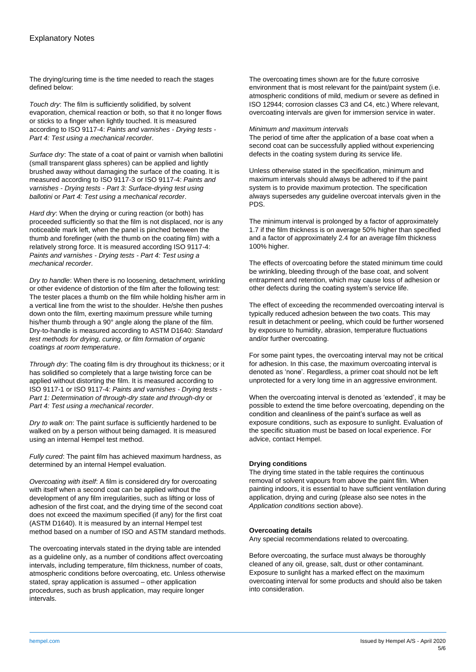The drying/curing time is the time needed to reach the stages defined below:

*Touch dry*: The film is sufficiently solidified, by solvent evaporation, chemical reaction or both, so that it no longer flows or sticks to a finger when lightly touched. It is measured according to ISO 9117-4: *Paints and varnishes - Drying tests - Part 4: Test using a mechanical recorder*.

*Surface dry*: The state of a coat of paint or varnish when ballotini (small transparent glass spheres) can be applied and lightly brushed away without damaging the surface of the coating. It is measured according to ISO 9117-3 or ISO 9117-4: *Paints and varnishes - Drying tests - Part 3: Surface-drying test using ballotini* or *Part 4: Test using a mechanical recorder*.

*Hard dry*: When the drying or curing reaction (or both) has proceeded sufficiently so that the film is not displaced, nor is any noticeable mark left, when the panel is pinched between the thumb and forefinger (with the thumb on the coating film) with a relatively strong force. It is measured according ISO 9117-4: *Paints and varnishes - Drying tests - Part 4: Test using a mechanical recorder*.

*Dry to handle*: When there is no loosening, detachment, wrinkling or other evidence of distortion of the film after the following test: The tester places a thumb on the film while holding his/her arm in a vertical line from the wrist to the shoulder. He/she then pushes down onto the film, exerting maximum pressure while turning his/her thumb through a 90° angle along the plane of the film. Dry-to-handle is measured according to ASTM D1640: *Standard test methods for drying, curing, or film formation of organic coatings at room temperature*.

*Through dry*: The coating film is dry throughout its thickness; or it has solidified so completely that a large twisting force can be applied without distorting the film. It is measured according to ISO 9117-1 or ISO 9117-4: *Paints and varnishes - Drying tests - Part 1: Determination of through-dry state and through-dry* or *Part 4: Test using a mechanical recorder*.

*Dry to walk on*: The paint surface is sufficiently hardened to be walked on by a person without being damaged. It is measured using an internal Hempel test method.

*Fully cured*: The paint film has achieved maximum hardness, as determined by an internal Hempel evaluation.

*Overcoating with itself*: A film is considered dry for overcoating with itself when a second coat can be applied without the development of any film irregularities, such as lifting or loss of adhesion of the first coat, and the drying time of the second coat does not exceed the maximum specified (if any) for the first coat (ASTM D1640). It is measured by an internal Hempel test method based on a number of ISO and ASTM standard methods.

The overcoating intervals stated in the drying table are intended as a guideline only, as a number of conditions affect overcoating intervals, including temperature, film thickness, number of coats, atmospheric conditions before overcoating, etc. Unless otherwise stated, spray application is assumed – other application procedures, such as brush application, may require longer intervals.

The overcoating times shown are for the future corrosive environment that is most relevant for the paint/paint system (i.e. atmospheric conditions of mild, medium or severe as defined in ISO 12944; corrosion classes C3 and C4, etc.) Where relevant, overcoating intervals are given for immersion service in water.

#### *Minimum and maximum intervals*

The period of time after the application of a base coat when a second coat can be successfully applied without experiencing defects in the coating system during its service life.

Unless otherwise stated in the specification, minimum and maximum intervals should always be adhered to if the paint system is to provide maximum protection. The specification always supersedes any guideline overcoat intervals given in the PDS.

The minimum interval is prolonged by a factor of approximately 1.7 if the film thickness is on average 50% higher than specified and a factor of approximately 2.4 for an average film thickness 100% higher.

The effects of overcoating before the stated minimum time could be wrinkling, bleeding through of the base coat, and solvent entrapment and retention, which may cause loss of adhesion or other defects during the coating system's service life.

The effect of exceeding the recommended overcoating interval is typically reduced adhesion between the two coats. This may result in detachment or peeling, which could be further worsened by exposure to humidity, abrasion, temperature fluctuations and/or further overcoating.

For some paint types, the overcoating interval may not be critical for adhesion. In this case, the maximum overcoating interval is denoted as 'none'. Regardless, a primer coat should not be left unprotected for a very long time in an aggressive environment.

When the overcoating interval is denoted as 'extended', it may be possible to extend the time before overcoating, depending on the condition and cleanliness of the paint's surface as well as exposure conditions, such as exposure to sunlight. Evaluation of the specific situation must be based on local experience. For advice, contact Hempel.

#### **Drying conditions**

The drying time stated in the table requires the continuous removal of solvent vapours from above the paint film. When painting indoors, it is essential to have sufficient ventilation during application, drying and curing (please also see notes in the *Application conditions* section above).

#### **Overcoating details**

Any special recommendations related to overcoating.

Before overcoating, the surface must always be thoroughly cleaned of any oil, grease, salt, dust or other contaminant. Exposure to sunlight has a marked effect on the maximum overcoating interval for some products and should also be taken into consideration.